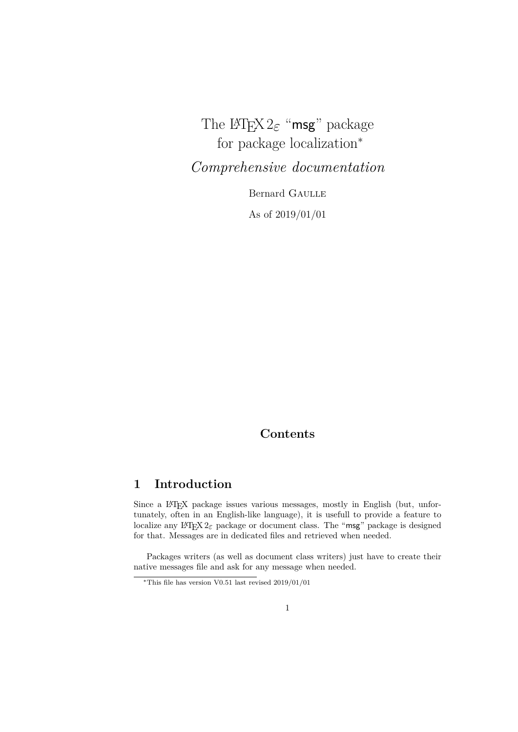# The LATEX 2*ε* "msg" package for package localization<sup>\*</sup>

*Comprehensive documentation*

Bernard Gaulle As of 2019/01/01

## **Contents**

## **1 Introduction**

Since a L<sup>AT</sup>EX package issues various messages, mostly in English (but, unfortunately, often in an English-like language), it is usefull to provide a feature to localize any LAT<sub>E</sub>X  $2\varepsilon$  package or document class. The "msg" package is designed for that. Messages are in dedicated files and retrieved when needed.

Packages writers (as well as document class writers) just have to create their native messages file and ask for any message when needed.

<sup>∗</sup>This file has version V0.51 last revised 2019/01/01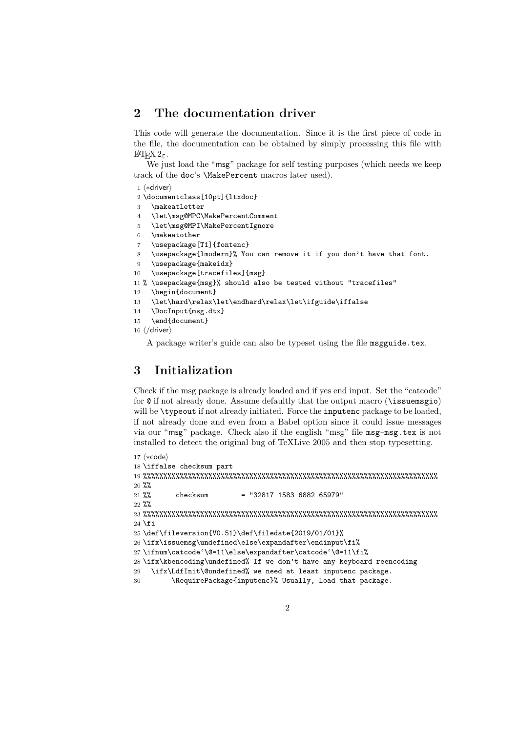## **2 The documentation driver**

This code will generate the documentation. Since it is the first piece of code in the file, the documentation can be obtained by simply processing this file with LATEX 2*ε*.

We just load the "msg" package for self testing purposes (which needs we keep track of the doc's \MakePercent macros later used).

```
1 \langle *driver \rangle
```
2 \documentclass[10pt]{ltxdoc}

3 \makeatletter

- 4 \let\msg@MPC\MakePercentComment
- 5 \let\msg@MPI\MakePercentIgnore
- 6 \makeatother

```
7 \usepackage[T1]{fontenc}
```

```
8 \usepackage{lmodern}% You can remove it if you don't have that font.
```

```
9 \usepackage{makeidx}
```

```
10 \usepackage[tracefiles]{msg}
```

```
11 % \usepackage{msg}% should also be tested without "tracefiles"
```
- 12 \begin{document}
- 13 \let\hard\relax\let\endhard\relax\let\ifguide\iffalse
- 14 \DocInput{msg.dtx}
- 15 \end{document}
- 16  $\langle$ /driver)

A package writer's guide can also be typeset using the file msgguide.tex.

## **3 Initialization**

Check if the msg package is already loaded and if yes end input. Set the "catcode" for @ if not already done. Assume defaultly that the output macro (\issuemsgio) will be  $\Theta$ , typeout if not already initiated. Force the inputenc package to be loaded, if not already done and even from a Babel option since it could issue messages via our "msg" package. Check also if the english "msg" file msg-msg.tex is not installed to detect the original bug of TeXLive 2005 and then stop typesetting.

```
17 \langle *code \rangle18 \iffalse checksum part
19 %%%%%%%%%%%%%%%%%%%%%%%%%%%%%%%%%%%%%%%%%%%%%%%%%%%%%%%%%%%%%%%%%%%%%%%%
20 %%
21 \frac{\%}{\%} checksum = "32817 1583 6882 65979"
22 %%
23 %%%%%%%%%%%%%%%%%%%%%%%%%%%%%%%%%%%%%%%%%%%%%%%%%%%%%%%%%%%%%%%%%%%%%%%%
24 \fi
25 \def\fileversion{V0.51}\def\filedate{2019/01/01}%
26 \ifx\issuemsg\undefined\else\expandafter\endinput\fi%
27 \ifnum\catcode'\@=11\else\expandafter\catcode'\@=11\fi%
28 \ifx\kbencoding\undefined% If we don't have any keyboard reencoding
29 \ifx\LdfInit\@undefined% we need at least inputenc package.
30 \RequirePackage{inputenc}% Usually, load that package.
```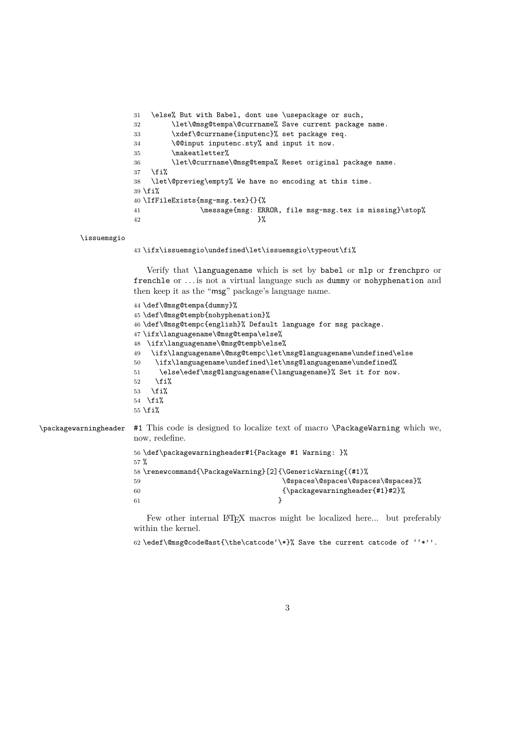```
31 \else% But with Babel, dont use \usepackage or such,
32 \let\@msg@tempa\@currname% Save current package name.
33 \xdef\@currname{inputenc}% set package req.
34 \@@input inputenc.sty% and input it now.
35 \makeatletter%
36 \let\@currname\@msg@tempa% Reset original package name.
37 \quad \text{ifif}38 \let\@previeg\empty% We have no encoding at this time.
39 \fi%
40 \IfFileExists{msg-msg.tex}{}{%
41 \message{msg: ERROR, file msg-msg.tex is missing}\stop%
42 }%
```
#### \issuemsgio

\ifx\issuemsgio\undefined\let\issuemsgio\typeout\fi%

Verify that \languagename which is set by babel or mlp or frenchpro or frenchle or ... is not a virtual language such as dummy or nohyphenation and then keep it as the "msg" package's language name.

```
44 \def\@msg@tempa{dummy}%
                     45 \def\@msg@tempb{nohyphenation}%
                     46 \def\@msg@tempc{english}% Default language for msg package.
                     47 \ifx\languagename\@msg@tempa\else%
                     48 \ifx\languagename\@msg@tempb\else%
                     49 \ifx\languagename\@msg@tempc\let\msg@languagename\undefined\else
                     50 \label{c1} $$50 \if x\lang{2} \anguagename\undefined\let\msg@languagename\undefined\ng.51 \else\edef\msg@languagename{\languagename}% Set it for now.
                     52 \overline{if}'53 \fi%
                     54 \fi%
                     55 \fi%
\packagewarningheader #1 This code is designed to localize text of macro \PackageWarning which we,
                     now, redefine.
                     56 \def\packagewarningheader#1{Package #1 Warning: }%
                     57 %
                     58 \renewcommand{\PackageWarning}[2]{\GenericWarning{(#1)%
                     59 \@spaces\@spaces\@spaces\@spaces}%
                     60 {\packagewarningheader{#1}#2}%
                     61 }
```
Few other internal LAT<sub>E</sub>X macros might be localized here... but preferably within the kernel.

```
62 \edef\@msg@code@ast{\the\catcode'\*}% Save the current catcode of ''*''.
```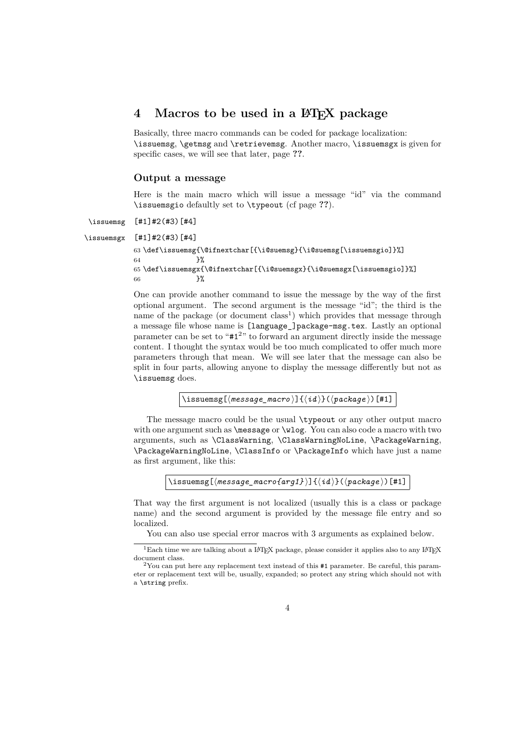## **4 Macros to be used in a LATEX package**

Basically, three macro commands can be coded for package localization: \issuemsg, \getmsg and \retrievemsg. Another macro, \issuemsgx is given for specific cases, we will see that later, page **??**.

#### **Output a message**

Here is the main macro which will issue a message "id" via the command \issuemsgio defaultly set to \typeout (cf page **??**).

#### \issuemsg [#1]#2(#3)[#4]

\issuemsgx [#1]#2(#3)[#4]

```
63 \def\issuemsg{\@ifnextchar[{\i@suemsg}{\i@suemsg[\issuemsgio]}%]
64 } }65 \def\issuemsgx{\@ifnextchar[{\i@suemsgx}{\i@suemsgx[\issuemsgio]}%]
66 }%
```
One can provide another command to issue the message by the way of the first optional argument. The second argument is the message "id"; the third is the name of the package (or document  $class<sup>1</sup>$ ) which provides that message through a message file whose name is [language\_]package-msg.tex. Lastly an optional parameter can be set to "#1<sup>2</sup> " to forward an argument directly inside the message content. I thought the syntax would be too much complicated to offer much more parameters through that mean. We will see later that the message can also be split in four parts, allowing anyone to display the message differently but not as \issuemsg does.

\issuemsg[ $\langle message\_macro \rangle$ ]{ $\langle id \rangle$ }( $\langle package \rangle$ )[#1]

The message macro could be the usual \typeout or any other output macro with one argument such as \message or \wlog. You can also code a macro with two arguments, such as **\ClassWarning**, **\ClassWarningNoLine**, **\PackageWarning**, \PackageWarningNoLine, \ClassInfo or \PackageInfo which have just a name as first argument, like this:

```
\langleissuemsg[\langlemessage_macro{arg1}}]{\langle id \rangle}(\langlepackage})[#1]
```
That way the first argument is not localized (usually this is a class or package name) and the second argument is provided by the message file entry and so localized.

You can also use special error macros with 3 arguments as explained below.

<sup>&</sup>lt;sup>1</sup>Each time we are talking about a LATEX package, please consider it applies also to any LATEX document class.

 $2$ You can put here any replacement text instead of this #1 parameter. Be careful, this parameter or replacement text will be, usually, expanded; so protect any string which should not with a \string prefix.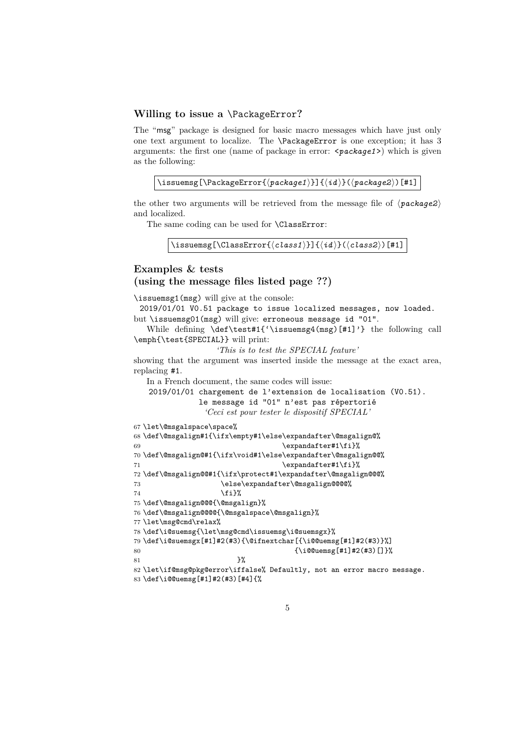#### **Willing to issue a** \PackageError**?**

The "msg" package is designed for basic macro messages which have just only one text argument to localize. The \PackageError is one exception; it has 3 arguments: the first one (name of package in error: <*package1*>) which is given as the following:

```
\issuemsg[\PackageError{\langlepackage1}}]{\langleid}}(\langlepackage2})[#1]
```
the other two arguments will be retrieved from the message file of  $\langle package2 \rangle$ and localized.

The same coding can be used for **\ClassError**:

\issuemsg[\ClassError{ $\langle class1\rangle$ ]]{ $\langle id \rangle$ }( $\langle class2\rangle$ )[#1]

## **Examples & tests (using the message files listed page ??)**

\issuemsg1(msg) will give at the console:

2019/01/01 V0.51 package to issue localized messages, now loaded. but \issuemsg01(msg) will give: erroneous message id "01".

While defining \def\test#1{'\issuemsg4(msg)[#1]'} the following call \emph{\test{SPECIAL}} will print:

*'This is to test the SPECIAL feature'*

showing that the argument was inserted inside the message at the exact area, replacing #1.

In a French document, the same codes will issue:

2019/01/01 chargement de l'extension de localisation (V0.51).

```
le message id "01" n'est pas répertorié
```

```
'Ceci est pour tester le dispositif SPECIAL'
```

```
67 \let\@msgalspace\space%
```

```
68 \def\@msgalign#1{\ifx\empty#1\else\expandafter\@msgalign@%
69 \expandafter#1\fi}%
70 \def\@msgalign@#1{\ifx\void#1\else\expandafter\@msgalign@@%
71 \expandafter#1\fi}%
```

```
72 \def\@msgalign@@#1{\ifx\protect#1\expandafter\@msgalign@@@%
```
73 \else\expandafter\@msgalign@@@@%  $74 \quad \text{If } i \}$ %

```
75 \def\@msgalign@@@{\@msgalign}%
```
76 \def\@msgalign@@@@{\@msgalspace\@msgalign}%

```
77 \let\msg@cmd\relax%
```
 $81$   $}$   $}$ 

```
78 \def\i@suemsg{\let\msg@cmd\issuemsg\i@suemsgx}%
```
79 \def\i@suemsgx[#1]#2(#3){\@ifnextchar[{\i@@uemsg[#1]#2(#3)}%]

```
80 {\i@@uemsg[#1]#2(#3)[]}%
```
82 \let\if@msg@pkg@error\iffalse% Defaultly, not an error macro message. 83 \def\i@@uemsg[#1]#2(#3)[#4]{%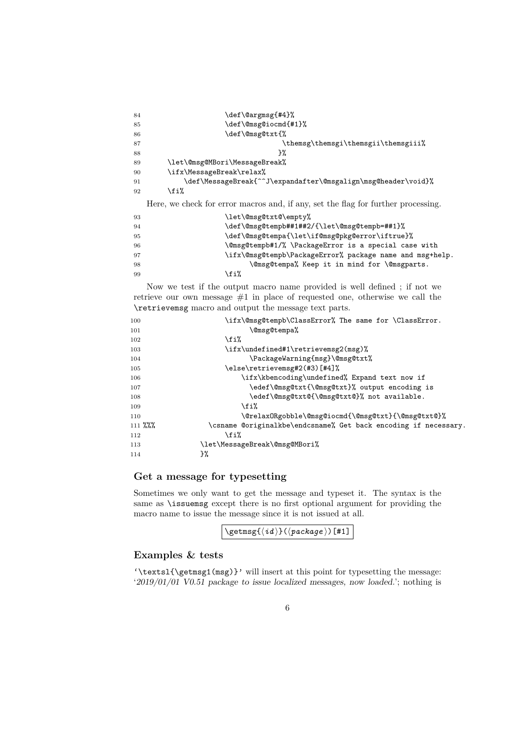| 84 | \def\@argmsg{#4}%                                                                 |
|----|-----------------------------------------------------------------------------------|
| 85 | \def\@msg@iocmd{#1}%                                                              |
| 86 | \def\@msg@txt{%                                                                   |
| 87 | \themsg\themsgi\themsgii\themsgiii%                                               |
| 88 | }%                                                                                |
| 89 | \let\@msg@MBori\MessageBreak%                                                     |
| 90 | \ifx\MessageBreak\relax%                                                          |
| 91 | \def\MessageBreak{^^J\expandafter\@msgalign\msg@header\void}%                     |
| 92 | \fi%                                                                              |
|    | Here, we check for error macros and, if any, set the flag for further processing. |
| 93 | \let\@msg@txt@\empty%                                                             |
| 94 | \def\@msg@tempb##1##2/{\let\@msg@tempb=##1}%                                      |
| 95 | \def\@msg@tempa{\let\if@msg@pkg@error\iftrue}%                                    |
| 96 | \@msg@tempb#1/% \PackageError is a special case with                              |
| 97 | \ifx\@msg@tempb\PackageError% package name and msg+help.                          |
| 98 | \@msg@tempa% Keep it in mind for \@msgparts.                                      |
| 99 | \fi%                                                                              |

Now we test if the output macro name provided is well defined ; if not we retrieve our own message #1 in place of requested one, otherwise we call the \retrievemsg macro and output the message text parts.

| 100     | \ifx\@msg@tempb\ClassError% The same for \ClassError.           |
|---------|-----------------------------------------------------------------|
| 101     | \@msg@tempa%                                                    |
| 102     | \fi%                                                            |
| 103     | \ifx\undefined#1\retrievemsg2(msg)%                             |
| 104     | \PackageWarning{msg}\@msg@txt%                                  |
| 105     | \else\retrievemsg#2(#3)[#4]%                                    |
| 106     | \ifx\kbencoding\undefined% Expand text now if                   |
| 107     | \edef\@msg@txt{\@msg@txt}% output encoding is                   |
| 108     | \edef\@msg@txt@{\@msg@txt@}% not available.                     |
| 109     | \fi%                                                            |
| 110     | \@relaxORgobble\@msg@iocmd{\@msg@txt}{\@msg@txt@}%              |
| 111 %%% | \csname @originalkbe\endcsname% Get back encoding if necessary. |
| 112     | \fi%                                                            |
| 113     | \let\MessageBreak\@msg@MBori%                                   |
| 114     | }‰                                                              |
|         |                                                                 |

## **Get a message for typesetting**

Sometimes we only want to get the message and typeset it. The syntax is the same as \issuemsg except there is no first optional argument for providing the macro name to issue the message since it is not issued at all.

| $\setminus \texttt{getmsg}(\langle id \rangle) (\langle package \rangle)$ [#1] |
|--------------------------------------------------------------------------------|
|--------------------------------------------------------------------------------|

### **Examples & tests**

'\textsl{\getmsg1(msg)}' will insert at this point for typesetting the message: '2019/01/01 V0.51 package to issue localized messages, now loaded.'; nothing is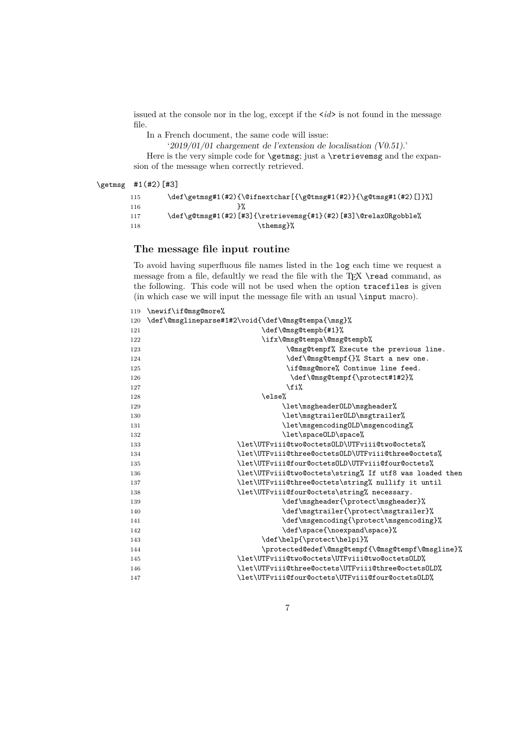issued at the console nor in the log, except if the <*id*> is not found in the message file.

In a French document, the same code will issue:

'2019/01/01 chargement de l'extension de localisation (V0.51).'

Here is the very simple code for **\getmsg**; just a **\retrievemsg** and the expansion of the message when correctly retrieved.

\getmsg #1(#2)[#3]

```
115 \def\getmsg#1(#2){\@ifnextchar[{\g@tmsg#1(#2)}{\g@tmsg#1(#2)[]}%]
116 } }117 \def\g@tmsg#1(#2)[#3]{\retrievemsg{#1}(#2)[#3]\@relaxORgobble%
118 \themsg}%
```
#### **The message file input routine**

To avoid having superfluous file names listed in the log each time we request a message from a file, defaultly we read the file with the TEX \read command, as the following. This code will not be used when the option tracefiles is given (in which case we will input the message file with an usual \input macro).

| 119 | \newif\if@msg@more%                                     |
|-----|---------------------------------------------------------|
| 120 | \def\@msglineparse#1#2\void{\def\@msg@tempa{\msg}%      |
| 121 | \def\@msg@tempb{#1}%                                    |
| 122 | \ifx\@msg@tempa\@msg@tempb%                             |
| 123 | <b>\@msg@tempf%</b> Execute the previous line.          |
| 124 | \def\@msg@tempf{}% Start a new one.                     |
| 125 | \if@msg@more% Continue line feed.                       |
| 126 | \def\@msg@tempf{\protect#1#2}%                          |
| 127 | \fi%                                                    |
| 128 | \else%                                                  |
| 129 | \let\msgheader0LD\msgheader%                            |
| 130 | \let\msgtrailer0LD\msgtrailer%                          |
| 131 | \let\msgencoding0LD\msgencoding%                        |
| 132 | \let\spaceOLD\space%                                    |
| 133 | \let\UTFviii@two@octetsOLD\UTFviii@two@octets%          |
| 134 | \let\UTFviii@three@octetsOLD\UTFviii@three@octets%      |
| 135 | \let\UTFviii@four@octetsOLD\UTFviii@four@octets%        |
| 136 | \let\UTFviii@two@octets\string% If utf8 was loaded then |
| 137 | \let\UTFviii@three@octets\string% nullify it until      |
| 138 | \let\UTFviii@four@octets\string% necessary.             |
| 139 | \def\msgheader{\protect\msgheader}%                     |
| 140 | \def\msgtrailer{\protect\msgtrailer}%                   |
| 141 | \def\msgencoding{\protect\msgencoding}%                 |
| 142 | \def\space{\noexpand\space}%                            |
| 143 | \def\help{\protect\helpi}%                              |
| 144 | \protected@edef\@msg@tempf{\@msg@tempf\@msgline}%       |
| 145 | \let\UTFviii@two@octets\UTFviii@two@octetsOLD%          |
| 146 | \let\UTFviii@three@octets\UTFviii@three@octets0LD%      |
| 147 | \let\UTFviii@four@octets\UTFviii@four@octets0LD%        |
|     |                                                         |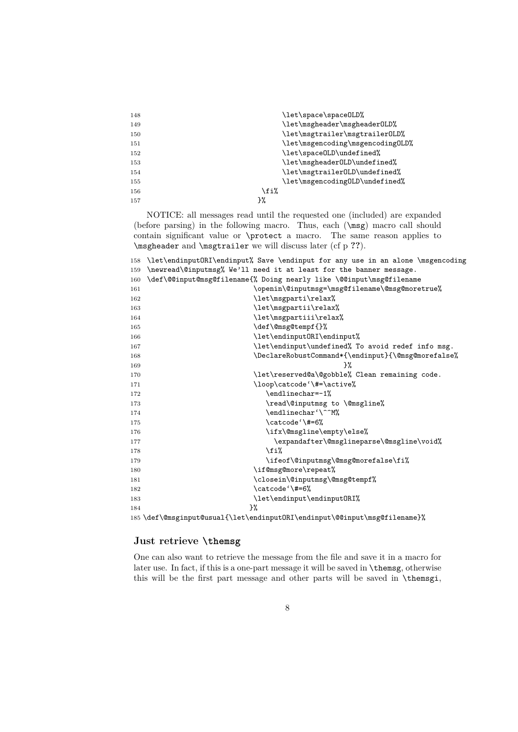| 148 | \let\space\space0LD%             |
|-----|----------------------------------|
| 149 | \let\msgheader\msgheader0LD%     |
| 150 | \let\msgtrailer\msgtrailer0LD%   |
| 151 | \let\msgencoding\msgencoding0LD% |
| 152 | \let\space0LD\undefined%         |
| 153 | \let\msgheader0LD\undefined%     |
| 154 | \let\msgtrailer0LD\undefined%    |
| 155 | \let\msgencoding0LD\undefined%   |
| 156 | \fi%                             |
| 157 | }%                               |

NOTICE: all messages read until the requested one (included) are expanded (before parsing) in the following macro. Thus, each (\msg) macro call should contain significant value or \protect a macro. The same reason applies to \msgheader and \msgtrailer we will discuss later (cf p **??**).

| 158 | \let\endinput0RI\endinput% Save \endinput for any use in an alone \msgencoding |
|-----|--------------------------------------------------------------------------------|
| 159 | \newread\@inputmsg% We'll need it at least for the banner message.             |
| 160 | \def\@@input@msg@filename{% Doing nearly like \@@input\msg@filename            |
| 161 | \openin\@inputmsg=\msg@filename\@msg@moretrue%                                 |
| 162 | \let\msgparti\relax%                                                           |
| 163 | \let\msgpartii\relax%                                                          |
| 164 | \let\msgpartiii\relax%                                                         |
| 165 | \def\@msg@tempf{}%                                                             |
| 166 | \let\endinput0RI\endinput%                                                     |
| 167 | \let\endinput\undefined% To avoid redef info msg.                              |
| 168 | \DeclareRobustCommand*{\endinput}{\@msg@morefalse%                             |
| 169 | ን%                                                                             |
| 170 | \let\reserved@a\@gobble% Clean remaining code.                                 |
| 171 | \loop\catcode'\#=\active%                                                      |
| 172 | \endlinechar=-1%                                                               |
| 173 | \read\@inputmsg to \@msgline%                                                  |
| 174 | \endlinechar'\^^M%                                                             |
| 175 | \catcode'\#=6%                                                                 |
| 176 | \ifx\@msgline\empty\else%                                                      |
| 177 | \expandafter\@msglineparse\@msgline\void%                                      |
| 178 | \fi%                                                                           |
| 179 | \ifeof\@inputmsg\@msg@morefalse\fi%                                            |
| 180 | \if@msg@more\repeat%                                                           |
| 181 | \closein\@inputmsg\@msg@tempf%                                                 |
| 182 | \catcode'\#=6%                                                                 |
| 183 | \let\endinput\endinputORI%                                                     |
| 184 | ን%                                                                             |
|     | 185 \def\@msginput@usual{\let\endinputORI\endinput\@@input\msg@filename}%      |

## **Just retrieve \themsg**

One can also want to retrieve the message from the file and save it in a macro for later use. In fact, if this is a one-part message it will be saved in \themsg, otherwise this will be the first part message and other parts will be saved in \themsgi,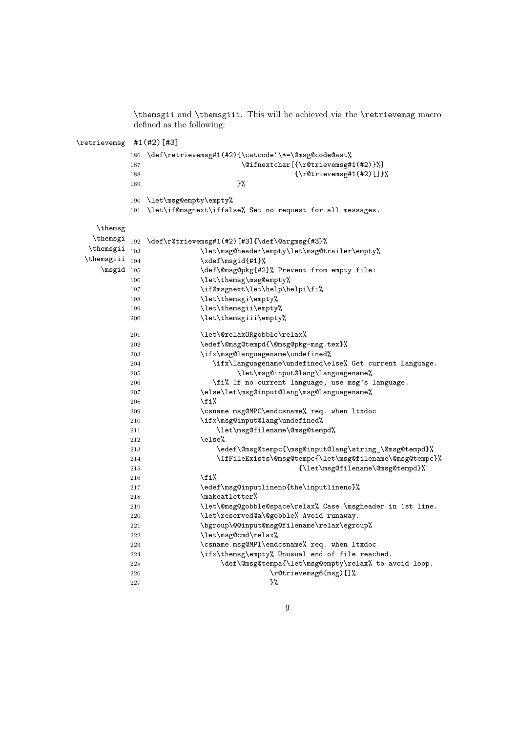\themsgii and \themsgiii. This will be achieved via the \retrievemsg macro defined as the following:

| \retrievemsg #1(#2)[#3] |            |                                                                               |
|-------------------------|------------|-------------------------------------------------------------------------------|
|                         | 186        | \def\retrievemsg#1(#2){\catcode'\*=\@msg@code@ast%                            |
|                         | 187        | \@ifnextchar[{\r@trievemsg#1(#2)}%]                                           |
|                         | 188        | $\{\rt\circ\text{reversg#1}(\#2) [\right]\}\$                                 |
|                         | 189        | }%                                                                            |
|                         | 190        | \let\msg@empty\empty%                                                         |
|                         | 191        | \let\if@msgnext\iffalse% Set no request for all messages.                     |
|                         |            |                                                                               |
| \themsg                 |            |                                                                               |
| \themsgi                | 192        | \def\r@trievemsg#1(#2)[#3]{\def\@argmsg{#3}%                                  |
| \themsgii               | 193        | \let\msg@header\empty\let\msg@trailer\empty%                                  |
| \themsgiii $_{194}$     |            | \xdef\msgid{#1}%                                                              |
| $\text{msgid}$ 195      |            |                                                                               |
|                         | 196        | \let\themsg\msg@empty%                                                        |
|                         | 197        | \if@msgnext\let\help\helpi\fi%                                                |
|                         | 198        | \let\themsgi\empty%                                                           |
|                         | 199        | \let\themsgii\empty%                                                          |
|                         | 200        | \let\themsgiii\empty%                                                         |
|                         | 201        | \let\@relaxORgobble\relax%                                                    |
|                         | 202        | \edef\@msg@tempd{\@msg@pkg-msg.tex}%                                          |
|                         | 203        | \ifx\msg@languagename\undefined%                                              |
|                         | 204        | \ifx\languagename\undefined\else% Get current language.                       |
|                         | 205        | \let\msg@input@lang\languagename%                                             |
|                         | 206        | \fi% If no current language, use msg's language.                              |
|                         | 207        | \else\let\msg@input@lang\msg@languagename%                                    |
|                         | 208        | \fi%                                                                          |
|                         | 209        | \csname msg@MPC\endcsname% req. when ltxdoc                                   |
|                         | 210        | \ifx\msg@input@lang\undefined%                                                |
|                         | 211        | \let\msg@filename\@msg@tempd%                                                 |
|                         | 212        | \else%                                                                        |
|                         | 213        | \edef\@msg@tempc{\msg@input@lang\string_\@msg@tempd}%                         |
|                         | 214        | \IfFileExists\@msg@tempc{\let\msg@filename\@msg@tempc}%                       |
|                         | 215        | {\let\msg@filename\@msg@tempd}%                                               |
|                         | 216        | \fi%                                                                          |
|                         | 217        | \edef\msg@inputlineno{the\inputlineno}%                                       |
|                         | 218        | \makeatletter%                                                                |
|                         | 219        | \let\@msg@gobble@space\relax% Case \msgheader in 1st line.                    |
|                         | 220        | \let\reserved@a\@gobble% Avoid runaway.                                       |
|                         | 221        | \bgroup\@@input@msg@filename\relax\egroup%                                    |
|                         | 222        | \let\msg@cmd\relax%                                                           |
|                         | 223        | \csname msg@MPI\endcsname% req. when ltxdoc                                   |
|                         | 224<br>225 | \ifx\themsg\empty% Unusual end of file reached.                               |
|                         | 226        | \def\@msg@tempa{\let\msg@empty\relax% to avoid loop.<br>\r@trievemsg6(msg)[]% |
|                         | 227        | }%                                                                            |
|                         |            |                                                                               |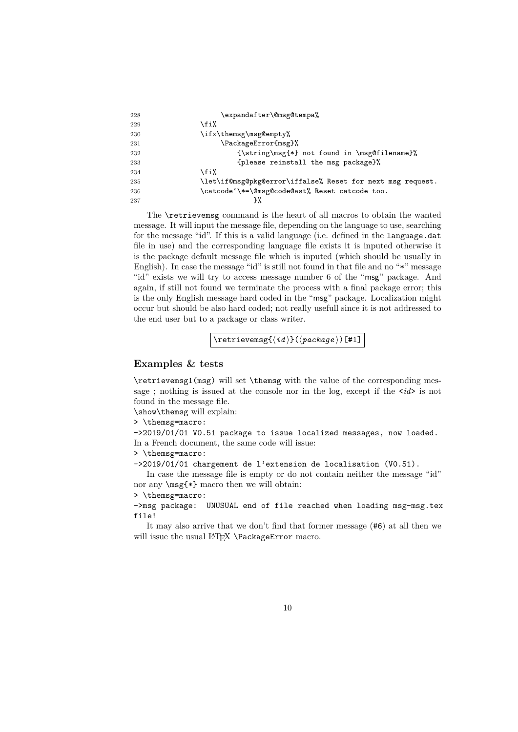| 228 | \expandafter\@msg@tempa%                                   |
|-----|------------------------------------------------------------|
| 229 | \fi%                                                       |
| 230 | \ifx\themsg\msg@empty%                                     |
| 231 | \PackageError{msg}%                                        |
| 232 | {\string\msg{*} not found in \msg@filename}%               |
| 233 | {please reinstall the msg package}%                        |
| 234 | \fi%                                                       |
| 235 | \let\if@msg@pkg@error\iffalse% Reset for next msg request. |
| 236 | \catcode'\*=\@msg@code@ast% Reset catcode too.             |
| 237 | }%                                                         |

The \retrievemsg command is the heart of all macros to obtain the wanted message. It will input the message file, depending on the language to use, searching for the message "id". If this is a valid language (i.e. defined in the language.dat file in use) and the corresponding language file exists it is inputed otherwise it is the package default message file which is inputed (which should be usually in English). In case the message "id" is still not found in that file and no "\*" message "id" exists we will try to access message number 6 of the "msg" package. And again, if still not found we terminate the process with a final package error; this is the only English message hard coded in the "msg" package. Localization might occur but should be also hard coded; not really usefull since it is not addressed to the end user but to a package or class writer.

 $\text{retrive}(\langle id \rangle)$  is  $\langle pack \rangle$  [#1]

#### **Examples & tests**

\retrievemsg1(msg) will set \themsg with the value of the corresponding message; nothing is issued at the console nor in the log, except if the  $\langle id \rangle$  is not found in the message file.

\show\themsg will explain:

> \themsg=macro:

->2019/01/01 V0.51 package to issue localized messages, now loaded. In a French document, the same code will issue:

> \themsg=macro:

->2019/01/01 chargement de l'extension de localisation (V0.51).

In case the message file is empty or do not contain neither the message "id" nor any \msg{\*} macro then we will obtain:

> \themsg=macro:

->msg package: UNUSUAL end of file reached when loading msg-msg.tex file!

It may also arrive that we don't find that former message (#6) at all then we will issue the usual LATEX \PackageError macro.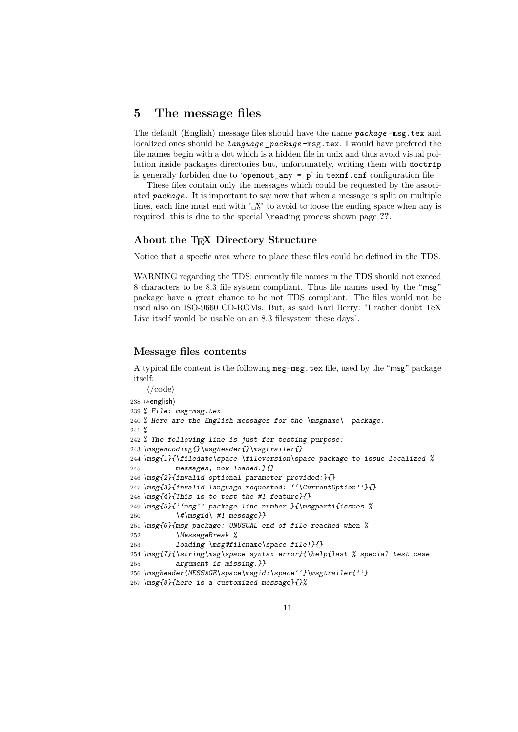## **5 The message files**

The default (English) message files should have the name *package* -msg.tex and localized ones should be *language* \_*package* -msg.tex. I would have prefered the file names begin with a dot which is a hidden file in unix and thus avoid visual pollution inside packages directories but, unfortunately, writing them with doctrip is generally forbiden due to 'openout\_any =  $p'$  in texmf.cnf configuration file.

These files contain only the messages which could be requested by the associated *package* . It is important to say now that when a message is split on multiple lines, each line must end with " $\frac{N}{2}$ " to avoid to loose the ending space when any is required; this is due to the special \reading process shown page **??**.

#### **About the TEX Directory Structure**

Notice that a specfic area where to place these files could be defined in the TDS.

WARNING regarding the TDS: currently file names in the TDS should not exceed 8 characters to be 8.3 file system compliant. Thus file names used by the "msg" package have a great chance to be not TDS compliant. The files would not be used also on ISO-9660 CD-ROMs. But, as said Karl Berry: "I rather doubt TeX Live itself would be usable on an 8.3 filesystem these days".

#### **Message files contents**

A typical file content is the following msg-msg.tex file, used by the "msg" package itself:

```
\langle \text{/code} \rangle238 (*english)
239 % File: msg-msg.tex
240 % Here are the English messages for the \msgname\ package.
241 %
242 % The following line is just for testing purpose:
243 \msgencoding{}\msgheader{}\msgtrailer{}
244 \msg{1}{\filedate\space \fileversion\space package to issue localized %
245 messages, now loaded.}{}
246 \msg{2}{invalid optional parameter provided:}{}
247 \msg{3}{invalid language requested: ''\CurrentOption''}{}
248 \msg{4}{This is to test the #1 feature}{}
249 \msg{5}{''msg'' package line number }{\msgparti{issues %
250 \{\# \msgid\ \#1 \ message\}251 \msg{6}{msg package: UNUSUAL end of file reached when %
252 \MessageBreak %
253 loading \msg@filename\space file!}{}
254 \msg{7}{\string\msg\space syntax error}{\help{last % special test case
255 argument is missing.}}
256 \msgheader{MESSAGE\space\msgid:\space''}\msgtrailer{''}
257 \msg{8}{here is a customized message}{}%
```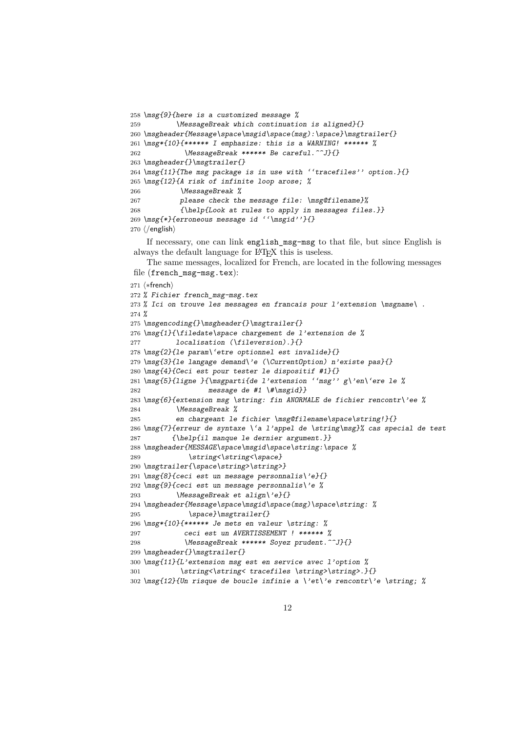```
258 \msg{9}{here is a customized message %
259 \MessageBreak which continuation is aligned}{}
260 \msgheader{Message\space\msgid\space(msg):\space}\msgtrailer{}
261 \msg*{10}{****** I emphasize: this is a WARNING! ****** %
262 \MessageBreak ****** Be careful.^^J}{}
263 \msgheader{}\msgtrailer{}
264 \msg{11}{The msg package is in use with ''tracefiles'' option.}{}
265 \msg{12}{A risk of infinite loop arose; %
266 \MessageBreak %
267 please check the message file: \msg@filename}%
268 {\help{Look at rules to apply in messages files.}}
269 \msg{*}{erroneous message id ''\msgid''}{}
270 \; \langle/english\rangleIf necessary, one can link english_msg-msg to that file, but since English is
always the default language for LAT<sub>EX</sub> this is useless.
    The same messages, localized for French, are located in the following messages
file (french_msg-msg.tex):
271 \langle *french\rangle272 % Fichier french_msg-msg.tex
273 % Ici on trouve les messages en francais pour l'extension \msgname\ .
274 %
275 \msgencoding{}\msgheader{}\msgtrailer{}
276 \msg{1}{\filedate\space chargement de l'extension de %
277 1ocalisation (\fileversion).}{}
278 \msg{2}{le param\'etre optionnel est invalide}{}
279 \msg{3}{le langage demand\'e (\CurrentOption) n'existe pas}{}
280 \msg{4}{Ceci est pour tester le dispositif #1}{}
281 \msg{5}{ligne }{\msgparti{de l'extension ''msg'' g\'en\'ere le %
282 message de #1 \#\msgid}}
283 \msg{6}{extension msg \string: fin ANORMALE de fichier rencontr\'ee %
284 \MessageBreak %
285 en chargeant le fichier \msg@filename\space\string!}{}
286 \msg{7}{erreur de syntaxe \'a l'appel de \string\msg}% cas special de test
287 {\help{il manque le dernier argument.}}
288 \msgheader{MESSAGE\space\msgid\space\string:\space %
289 \string<\string<\space}
290 \msgtrailer{\space\string>\string>}
291 \msg{8}{ceci est un message personnalis\'e}{}
292 \msg{9}{ceci est un message personnalis\'e %
293 \MessageBreak et align\'e}{}
294 \msgheader{Message\space\msgid\space(msg)\space\string: %
295 \space}\msgtrailer{}
296 \msg*{10}{****** Je mets en valeur \string: %
297 ceci est un AVERTISSEMENT ! ****** %
298 \MessageBreak ****** Soyez prudent.^^J}{}
299 \msgheader{}\msgtrailer{}
300 \msg{11}{L'extension msg est en service avec l'option %
301 \string<\string< tracefiles \string>\string>.}{}
302 \msg{12}{Un risque de boucle infinie a \'et\'e rencontr\'e \string; %
```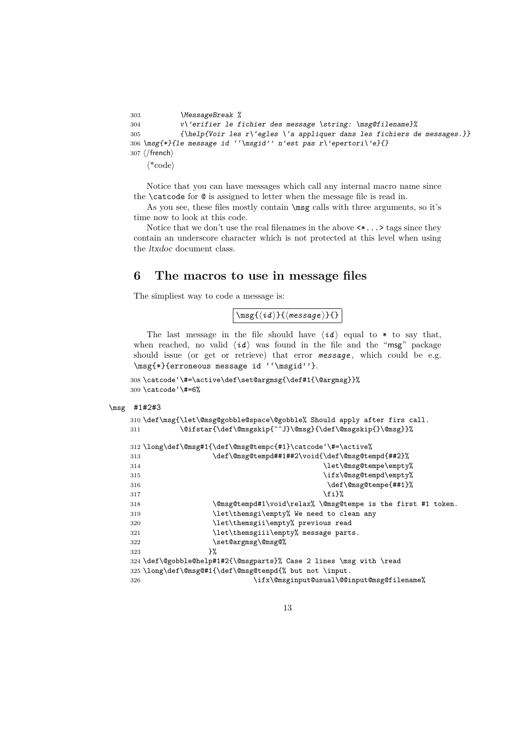```
303 \MessageBreak %
304 v\'erifier le fichier des message \string: \msg@filename}%
305 {\help{Voir les r\'egles \'a appliquer dans les fichiers de messages.}}
306 \msg{*}{le message id ''\msgid'' n'est pas r\'epertori\'e}{}
307 \langle/french\rangle\langle*code\rangle
```
Notice that you can have messages which call any internal macro name since the \catcode for @ is assigned to letter when the message file is read in.

As you see, these files mostly contain \msg calls with three arguments, so it's time now to look at this code.

Notice that we don't use the real filenames in the above  $\langle \cdot, \cdot \rangle$  tags since they contain an underscore character which is not protected at this level when using the ltxdoc document class.

## **6 The macros to use in message files**

The simpliest way to code a message is:

 $\sqrt{\frac{\max\{i\,\} \cdot \max\{i\,\} }{n}}$ 

The last message in the file should have  $\langle id \rangle$  equal to \* to say that, when reached, no valid  $\langle id \rangle$  was found in the file and the "msg" package should issue (or get or retrieve) that error *message* , which could be e.g. \msg{\*}{erroneous message id ''\msgid''}.

```
308 \catcode'\#=\active\def\set@argmsg{\def#1{\@argmsg}}%
309 \catcode'\#=6%
```

```
\msg #1#2#3
```

```
310 \def\msg{\let\@msg@gobble@space\@gobble% Should apply after firs call.
311 \@ifstar{\def\@msgskip{^^J}\@msg}{\def\@msgskip{}\@msg}}%
312 \long\def\@msg#1{\def\@msg@tempc{#1}\catcode'\#=\active%
313 \def\@msg@tempd##1##2\void{\def\@msg@tempd{##2}%
314 \let\@msg@tempe\empty%
315 \ifx\@{m}{g\tempd\emph{empty}}316 \det\{\Theta\}317 \quad \text{if } \mathbf{i} \mathbf{y}318 \@msg@tempd#1\void\relax% \@msg@tempe is the first #1 token.
319 \let\themsgi\empty% We need to clean any
320 \let\themsgii\empty% previous read
321 \let\themsgii\empty% message parts.
322 \set@argmsg\@msg@%
323 } }324 \def\@gobble@help#1#2{\@msgparts}% Case 2 lines \msg with \read
325 \long\def\@msg@#1{\def\@msg@tempd{% but not \input.
326 \ifx\@msginput@usual\@@input@msg@filename%
```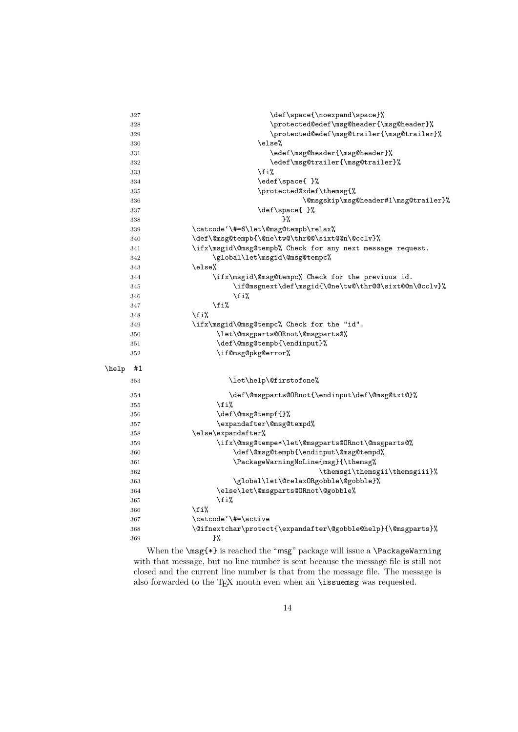|       | 327 | \def\space{\noexpand\space}%                                 |
|-------|-----|--------------------------------------------------------------|
|       | 328 | \protected@edef\msg@header{\msg@header}%                     |
|       | 329 | \protected@edef\msg@trailer{\msg@trailer}%                   |
|       | 330 | \else%                                                       |
|       | 331 | \edef\msg@header{\msg@header}%                               |
|       | 332 | \edef\msg@trailer{\msg@trailer}%                             |
|       | 333 | \fi%                                                         |
|       | 334 | \edef\space{ }%                                              |
|       | 335 | \protected@xdef\themsg{%                                     |
|       | 336 | \@msgskip\msg@header#1\msg@trailer}%                         |
|       | 337 | \def\space{ }%                                               |
|       | 338 | }‰                                                           |
|       | 339 | \catcode'\#=6\let\@msg@tempb\relax%                          |
|       | 340 | \def\@msg@tempb{\@ne\tw@\thr@@\sixt@@n\@cclv}%               |
|       | 341 | \ifx\msgid\@msg@tempb% Check for any next message request.   |
|       | 342 | \global\let\msgid\@msg@tempc%                                |
|       | 343 | \else%                                                       |
|       | 344 | \ifx\msgid\@msg@tempc% Check for the previous id.            |
|       | 345 | \if@msgnext\def\msgid{\@ne\tw@\thr@@\sixt@@n\@cclv}%         |
|       | 346 | \fi%                                                         |
|       | 347 | \fi%                                                         |
|       | 348 | \fi%                                                         |
|       | 349 | \ifx\msgid\@msg@tempc% Check for the "id".                   |
|       | 350 | \let\@msgparts@ORnot\@msgparts@%                             |
|       | 351 | \def\@msg@tempb{\endinput}%                                  |
|       | 352 | \if@msg@pkg@error%                                           |
| \help | #1  |                                                              |
|       |     |                                                              |
|       | 353 | \let\help\@firstofone%                                       |
|       | 354 | \def\@msgparts@ORnot{\endinput\def\@msg@txt@}%               |
|       | 355 | \fi%                                                         |
|       | 356 | \def\@msg@tempf{}%                                           |
|       | 357 | \expandafter\@msg@tempd%                                     |
|       | 358 | \else\expandafter%                                           |
|       | 359 | \ifx\@msg@tempe*\let\@msgparts@ORnot\@msgparts@%             |
|       | 360 | \def\@msg@tempb{\endinput\@msg@tempd%                        |
|       | 361 | \PackageWarningNoLine{msg}{\themsg%                          |
|       | 362 | \themsgi\themsgii\themsgiii}%                                |
|       | 363 | \global\let\@relaxORgobble\@gobble}%                         |
|       | 364 | \else\let\@msgparts@ORnot\@gobble%                           |
|       | 365 | \fi%                                                         |
|       | 366 | \fi%                                                         |
|       | 367 | \catcode'\#=\active                                          |
|       | 368 | \@ifnextchar\protect{\expandafter\@gobble@help}{\@msgparts}% |
|       | 369 | }‰                                                           |

When the  $\text{\sf\%}$  is reached the "msg" package will issue a  $\P$ ackageWarning with that message, but no line number is sent because the message file is still not closed and the current line number is that from the message file. The message is also forwarded to the TEX mouth even when an **\issuemsg** was requested.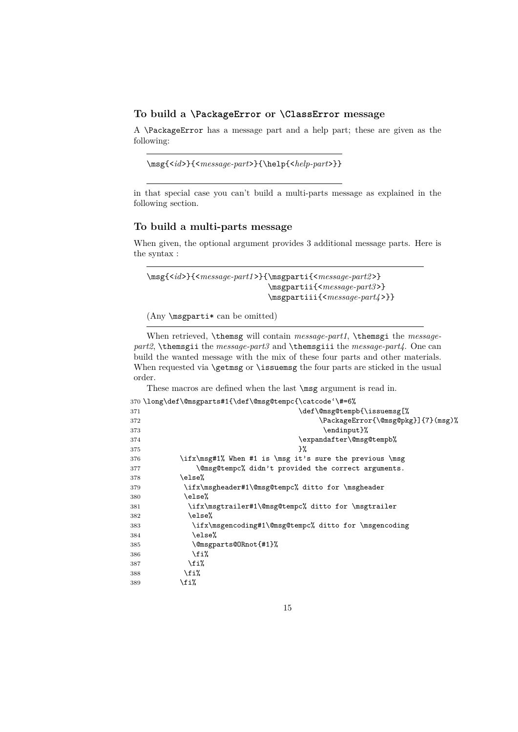#### **To build a \PackageError or \ClassError message**

A \PackageError has a message part and a help part; these are given as the following:

```
\msg{<id>}{<message-part>}{\help{<help-part>}}
```
in that special case you can't build a multi-parts message as explained in the following section.

#### **To build a multi-parts message**

When given, the optional argument provides 3 additional message parts. Here is the syntax :

```
\msg{<id>}{<message-part1 >}{\msgparti{<message-part2 >}
                             \msgpartii{<message-part3 >}
                             \msgpartiii{<message-part4 >}}
```
(Any \msgparti\* can be omitted)

When retrieved, \themsg will contain *message-part1*, \themsgi the *messagepart2*, \themsgii the *message-part3* and \themsgiii the *message-part4*. One can build the wanted message with the mix of these four parts and other materials. When requested via \getmsg or \issuemsg the four parts are sticked in the usual order.

These macros are defined when the last \msg argument is read in.

|     | 370 \long\def\@msgparts#1{\def\@msg@tempc{\catcode'\#=6% |
|-----|----------------------------------------------------------|
| 371 | \def\@msg@tempb{\issuemsg[%                              |
| 372 | \PackageError{\@msg@pkg}]{7}(msg)%                       |
| 373 | \endinput}%                                              |
| 374 | \expandafter\@msg@tempb%                                 |
| 375 | ጉ%                                                       |
| 376 | \ifx\msg#1% When #1 is \msg it's sure the previous \msg  |
| 377 | \@msg@tempc% didn't provided the correct arguments.      |
| 378 | \else%                                                   |
| 379 | \ifx\msgheader#1\@msg@tempc% ditto for \msgheader        |
| 380 | \else%                                                   |
| 381 | \ifx\msgtrailer#1\@msg@tempc% ditto for \msgtrailer      |
| 382 | \else%                                                   |
| 383 | \ifx\msgencoding#1\@msg@tempc% ditto for \msgencoding    |
| 384 | \else%                                                   |
| 385 | \@msgparts@ORnot{#1}%                                    |
| 386 | \fi%                                                     |
| 387 | \fi%                                                     |
| 388 | \fi%                                                     |
| 389 | \fi%                                                     |
|     |                                                          |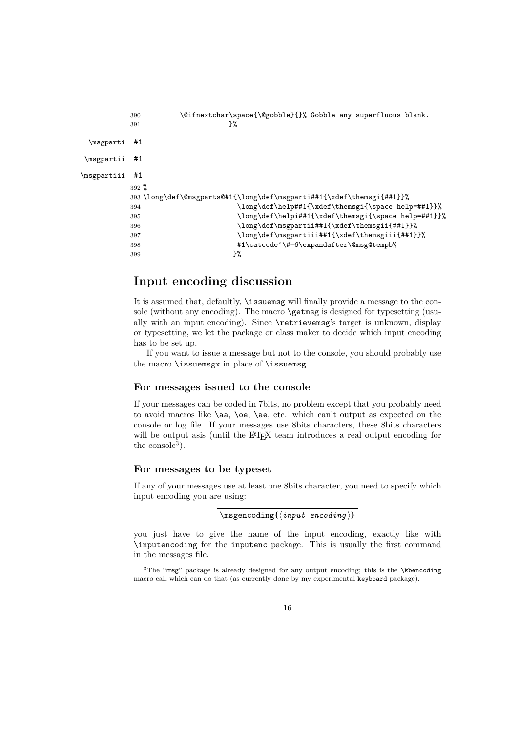```
390 \@ifnextchar\space{\@gobble}{}% Gobble any superfluous blank.
         391 }%
 \msgparti #1
\msgpartii #1
\msgpartiii #1
         392 %
        393 \long\def\@msgparts@#1{\long\def\msgparti##1{\xdef\themsgi{##1}}%
        394 \long\def\help##1{\xdef\themsgi{\space help=##1}}%
        395 \long\def\helpi##1{\xdef\themsgi{\space help=##1}}%
        396 \long\def\msgpartii##1{\xdef\themsgii{##1}}%
        397 \long\def\msgpartiii##1{\xdef\themsgiii{##1}}%
        398 #1\catcode'\#=6\expandafter\@msg@tempb%
         399 } }
```
## **Input encoding discussion**

It is assumed that, defaultly, \issuemsg will finally provide a message to the console (without any encoding). The macro **\getmsg** is designed for typesetting (usually with an input encoding). Since \retrievemsg's target is unknown, display or typesetting, we let the package or class maker to decide which input encoding has to be set up.

If you want to issue a message but not to the console, you should probably use the macro \issuemsgx in place of \issuemsg.

#### **For messages issued to the console**

If your messages can be coded in 7bits, no problem except that you probably need to avoid macros like \aa, \oe, \ae, etc. which can't output as expected on the console or log file. If your messages use 8bits characters, these 8bits characters will be output asis (until the LAT<sub>EX</sub> team introduces a real output encoding for the  $\rm{console}^3$ ).

#### **For messages to be typeset**

If any of your messages use at least one 8bits character, you need to specify which input encoding you are using:

 $\label{eq:optimal}$ 

you just have to give the name of the input encoding, exactly like with \inputencoding for the inputenc package. This is usually the first command in the messages file.

<sup>&</sup>lt;sup>3</sup>The "msg" package is already designed for any output encoding; this is the \kbencoding macro call which can do that (as currently done by my experimental keyboard package).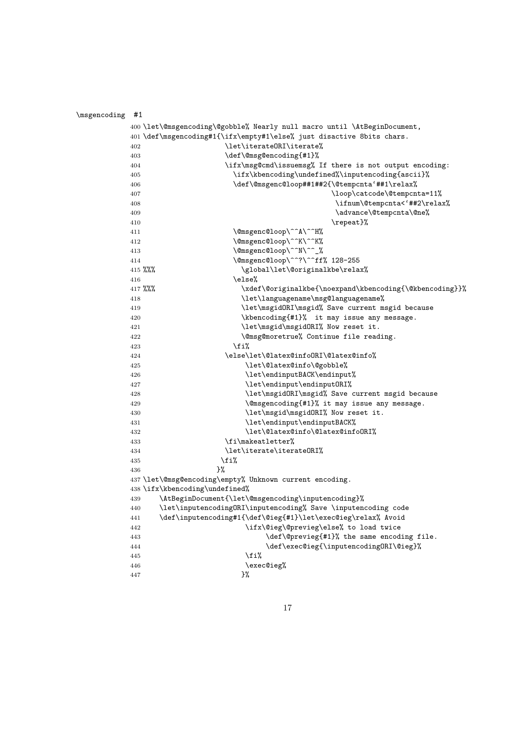| \msgencoding #1 |            |                                                                          |
|-----------------|------------|--------------------------------------------------------------------------|
|                 |            | 400 \let\@msgencoding\@gobble% Nearly null macro until \AtBeginDocument, |
|                 |            | 401 \def\msgencoding#1{\ifx\empty#1\else% just disactive 8bits chars.    |
|                 | 402        | \let\iterate0RI\iterate%                                                 |
|                 | 403        | \def\@msg@encoding{#1}%                                                  |
|                 | 404        | \ifx\msg@cmd\issuemsg% If there is not output encoding:                  |
|                 | 405        | \ifx\kbencoding\undefined%\inputencoding{ascii}%                         |
|                 | 406        | \def\@msgenc@loop##1##2{\@tempcnta'##1\relax%                            |
|                 | 407        | \loop\catcode\@tempcnta=11%                                              |
|                 | 408        | \ifnum\@tempcnta<'##2\relax%                                             |
|                 | 409        | \advance\@tempcnta\@ne%                                                  |
|                 | 410        | \repeat}%                                                                |
|                 | 411        | \@msgenc@loop\^^A\^^H%                                                   |
|                 | 412        | \@msgenc@loop\^^K\^^K%                                                   |
|                 | 413        | \@msgenc@loop\^^N\^^_%                                                   |
|                 | 414        | \@msgenc@loop\^^?\^^ff% 128-255                                          |
|                 |            | $415 \%$ %<br>\global\let\@originalkbe\relax%                            |
|                 | 416        | \else%                                                                   |
|                 |            | \xdef\@originalkbe{\noexpand\kbencoding{\@kbencoding}}%<br>$417$ %%%     |
|                 | 418        | \let\languagename\msg@languagename%                                      |
|                 | 419        | \let\msgidORI\msgid% Save current msgid because                          |
|                 | 420        | \kbencoding{#1}% it may issue any message.                               |
|                 | 421        | \let\msgid\msgidORI% Now reset it.                                       |
|                 | 422        | \@msg@moretrue% Continue file reading.                                   |
|                 | 423        | \fi%                                                                     |
|                 | 424        | \else\let\@latex@infoORI\@latex@info%                                    |
|                 | 425        | \let\@latex@info\@gobble%                                                |
|                 | 426        | \let\endinputBACK\endinput%                                              |
|                 | 427        | \let\endinput\endinputORI%                                               |
|                 | 428        | \let\msgidORI\msgid% Save current msgid because                          |
|                 | 429        | \@msgencoding{#1}% it may issue any message.                             |
|                 | 430        | \let\msgid\msgidORI% Now reset it.<br>\let\endinput\endinputBACK%        |
|                 | 431<br>432 | \let\@latex@info\@latex@infoORI%                                         |
|                 | 433        | \fi\makeatletter%                                                        |
|                 | 434        | \let\iterate\iterate0RI%                                                 |
|                 | 435        | \fi%                                                                     |
|                 | 436        | 3%                                                                       |
|                 |            | 437 \let\@msg@encoding\empty% Unknown current encoding.                  |
|                 |            | 438 \ifx\kbencoding\undefined%                                           |
|                 | 439        | \AtBeginDocument{\let\@msgencoding\inputencoding}%                       |
|                 | 440        | \let\inputencodingORI\inputencoding% Save \inputencoding code            |
|                 | 441        | \def\inputencoding#1{\def\@ieg{#1}\let\exec@ieg\relax% Avoid             |
|                 | 442        | \ifx\@ieg\@previeg\else% to load twice                                   |
|                 | 443        | \def\@previeg{#1}% the same encoding file.                               |
|                 | 444        | \def\exec@ieg{\inputencodingORI\@ieg}%                                   |
|                 | 445        | \fi%                                                                     |
|                 | 446        | \exec@ieg%                                                               |
|                 | 447        | }%                                                                       |
|                 |            |                                                                          |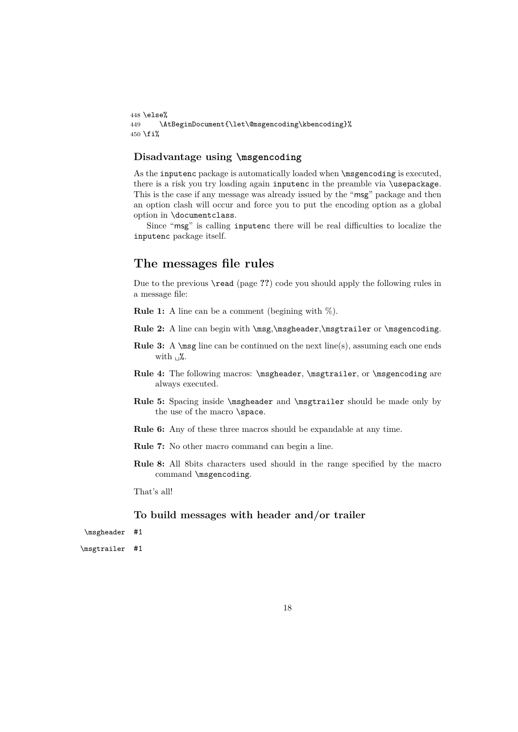```
448 \else%
449 \AtBeginDocument{\let\@msgencoding\kbencoding}%
450 \text{ tif}
```
### **Disadvantage using \msgencoding**

As the inputenc package is automatically loaded when \msgencoding is executed, there is a risk you try loading again inputenc in the preamble via \usepackage. This is the case if any message was already issued by the "msg" package and then an option clash will occur and force you to put the encoding option as a global option in \documentclass.

Since "msg" is calling inputenc there will be real difficulties to localize the inputenc package itself.

## **The messages file rules**

Due to the previous \read (page **??**) code you should apply the following rules in a message file:

**Rule 1:** A line can be a comment (begining with %).

- Rule 2: A line can begin with \msg,\msgheader,\msgtrailer or \msgencoding.
- **Rule 3:** A \msg line can be continued on the next line(s), assuming each one ends with  $\mathcal{L}$ .
- Rule 4: The following macros: \msgheader, \msgtrailer, or \msgencoding are always executed.
- Rule 5: Spacing inside \msgheader and \msgtrailer should be made only by the use of the macro \space.
- **Rule 6:** Any of these three macros should be expandable at any time.
- **Rule 7:** No other macro command can begin a line.
- **Rule 8:** All 8bits characters used should in the range specified by the macro command \msgencoding.

That's all!

#### **To build messages with header and/or trailer**

```
\msgheader #1
```
\msgtrailer #1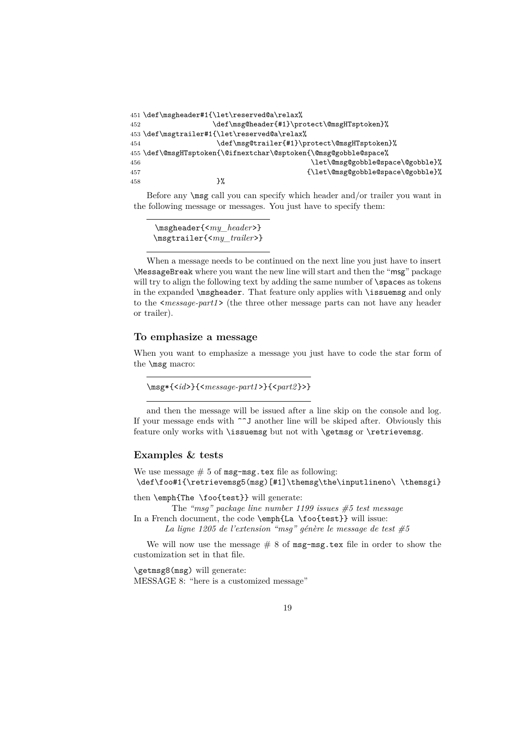```
451 \def\msgheader#1{\let\reserved@a\relax%
452 \def\msg@header{#1}\protect\@msgHTsptoken}%
453 \def\msgtrailer#1{\let\reserved@a\relax%
454 \def\msg@trailer{#1}\protect\@msgHTsptoken}%
455 \def\@msgHTsptoken{\@ifnextchar\@sptoken{\@msg@gobble@space%
456 \left\{ \frac{\text{det}\omega \right\} }{ \text{det}\omega \right\}457 {\left\{\{\text{@gsobble@space}\458 }%
```
Before any \msg call you can specify which header and/or trailer you want in the following message or messages. You just have to specify them:

\msgheader{<*my\_header*>} \msgtrailer{<*my\_trailer*>}

When a message needs to be continued on the next line you just have to insert \MessageBreak where you want the new line will start and then the "msg" package will try to align the following text by adding the same number of **\spaces** as tokens in the expanded \msgheader. That feature only applies with \issuemsg and only to the <*message-part1* > (the three other message parts can not have any header or trailer).

#### **To emphasize a message**

When you want to emphasize a message you just have to code the star form of the \msg macro:

\msg\*{<*id*>}{<*message-part1* >}{<*part2* }>}

and then the message will be issued after a line skip on the console and log. If your message ends with  $\sim$ J another line will be skiped after. Obviously this feature only works with **\issuemsg** but not with **\getmsg** or **\retrievemsg**.

#### **Examples & tests**

We use message  $# 5$  of msg-msg.tex file as following: \def\foo#1{\retrievemsg5(msg)[#1]\themsg\the\inputlineno\ \themsgi}

then \emph{The \foo{test}} will generate:

The *"msg" package line number 1199 issues #5 test message* In a French document, the code \emph{La \foo{test}} will issue:

*La ligne 1205 de l'extension "msg" génère le message de test #5*

We will now use the message  $# 8$  of msg-msg.tex file in order to show the customization set in that file.

\getmsg8(msg) will generate: MESSAGE 8: "here is a customized message"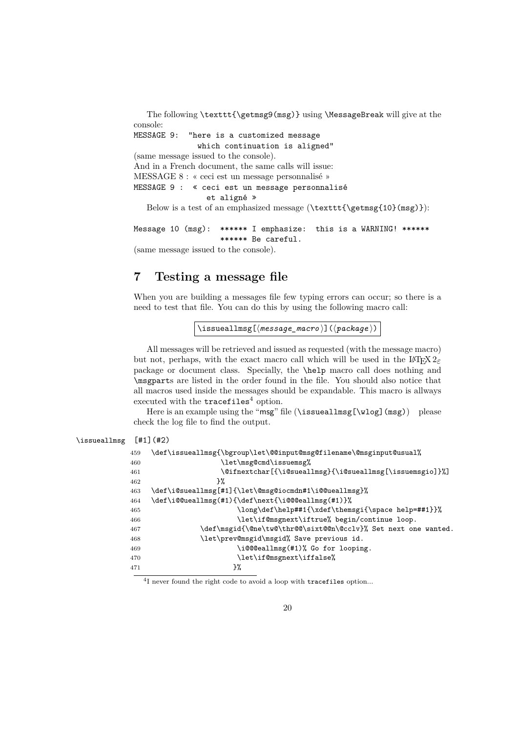The following \texttt{\getmsg9(msg)} using \MessageBreak will give at the console: MESSAGE 9: "here is a customized message which continuation is aligned" (same message issued to the console). And in a French document, the same calls will issue: MESSAGE 8 : « ceci est un message personnalisé » MESSAGE 9 : « ceci est un message personnalisé et aligné » Below is a test of an emphasized message ( $\texttt{\getmsg{10}(msg)}$ ):

Message 10 (msg): \*\*\*\*\*\* I emphasize: this is a WARNING! \*\*\*\*\*\* \*\*\*\*\*\* Be careful. (same message issued to the console).

## **7 Testing a message file**

 $\iota$ issue

When you are building a messages file few typing errors can occur; so there is a need to test that file. You can do this by using the following macro call:

\issueallmsg[ $\langle message\_macro \rangle$ ]( $\langle package \rangle$ )

All messages will be retrieved and issued as requested (with the message macro) but not, perhaps, with the exact macro call which will be used in the L<sup>AT</sup>EX  $2\varepsilon$ package or document class. Specially, the \help macro call does nothing and \msgparts are listed in the order found in the file. You should also notice that all macros used inside the messages should be expandable. This macro is allways executed with the  $tracefiles<sup>4</sup> option.$ 

Here is an example using the "msg" file (\issueallmsg[\wlog](msg)) please check the log file to find the output.

| allmsg | $[#1]$ (#2)                                                        |
|--------|--------------------------------------------------------------------|
| 459    | \def\issueallmsg{\bgroup\let\@@input@msg@filename\@msginput@usual% |
| 460    | \let\msg@cmd\issuemsg%                                             |
| 461    | \@ifnextchar[{\i@sueallmsg}{\i@sueallmsg[\issuemsgio]}%]           |
| 462    | ጉ%                                                                 |
| 463    | \def\i@sueallmsg[#1]{\let\@msg@iocmdn#1\i@@ueallmsg}%              |
| 464    | \def\i@@ueallmsg(#1){\def\next{\i@@@eallmsg(#1)}%                  |
| 465    | \long\def\help##1{\xdef\themsgi{\space help=##1}}%                 |
| 466    | \let\if@msgnext\iftrue% begin/continue loop.                       |
| 467    | \def\msgid{\@ne\tw@\thr@@\sixt@@n\@cclv}% Set next one wanted.     |
| 468    | \let\prev@msgid\msgid% Save previous id.                           |
| 469    | \i@@@eallmsg(#1)% Go for looping.                                  |
| 470    | \let\if@msgnext\iffalse%                                           |
| 471    | }‰                                                                 |

I never found the right code to avoid a loop with tracefiles option...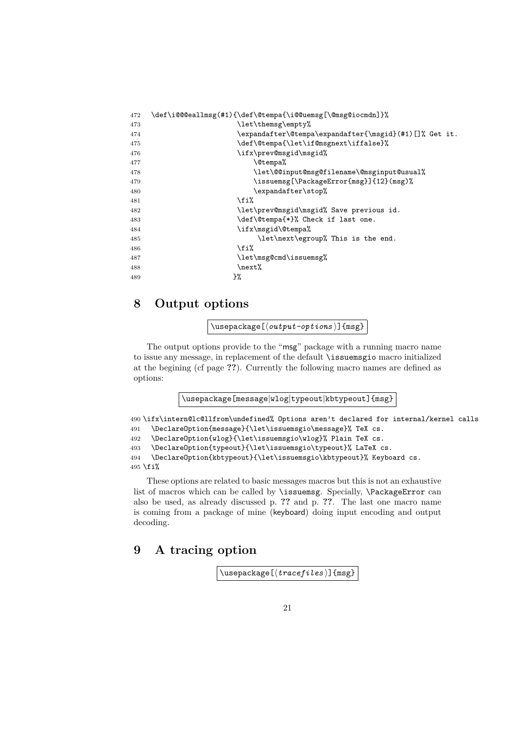| 472 | \def\i@@@eallmsg(#1){\def\@tempa{\i@@uemsg[\@msg@iocmdn]}% |
|-----|------------------------------------------------------------|
| 473 | \let\themsg\empty%                                         |
| 474 | \expandafter\@tempa\expandafter{\msgid}(#1)[]% Get it.     |
| 475 | \def\@tempa{\let\if@msgnext\iffalse}%                      |
| 476 | \ifx\prev@msgid\msgid%                                     |
| 477 | <b>\@tempa%</b>                                            |
| 478 | \let\@@input@msg@filename\@msginput@usual%                 |
| 479 | \issuemsg[\PackageError{msg}]{12}(msg)%                    |
| 480 | \expandafter\stop%                                         |
| 481 | \fi%                                                       |
| 482 | \let\prev@msgid\msgid% Save previous id.                   |
| 483 | \def\@tempa{*}% Check if last one.                         |
| 484 | \ifx\msgid\@tempa%                                         |
| 485 | \let\next\egroup% This is the end.                         |
| 486 | \fi%                                                       |
| 487 | \let\msg@cmd\issuemsg%                                     |
| 488 | \next%                                                     |
| 489 | }%                                                         |

## **8 Output options**

 $\{\text{usage}[\langle output-options \rangle]$   $\{msg\}$ 

The output options provide to the "msg" package with a running macro name to issue any message, in replacement of the default \issuemsgio macro initialized at the begining (cf page **??**). Currently the following macro names are defined as options:

\usepackage[message|wlog|typeout|kbtypeout]{msg}

```
490 \ifx\intern@lc@llfrom\undefined% Options aren't declared for internal/kernel calls
491 \DeclareOption{message}{\let\issuemsgio\message}% TeX cs.
492 \DeclareOption{wlog}{\let\issuemsgio\wlog}% Plain TeX cs.
493 \DeclareOption{typeout}{\let\issuemsgio\typeout}% LaTeX cs.
494 \DeclareOption{kbtypeout}{\let\issuemsgio\kbtypeout}% Keyboard cs.
```
495 \fi%

These options are related to basic messages macros but this is not an exhaustive list of macros which can be called by \issuemsg. Specially, \PackageError can also be used, as already discussed p. **??** and p. **??**. The last one macro name is coming from a package of mine (keyboard) doing input encoding and output decoding.

## **9 A tracing option**

```
\usepackage[\langle \text{trace} \rangle] {msg}
```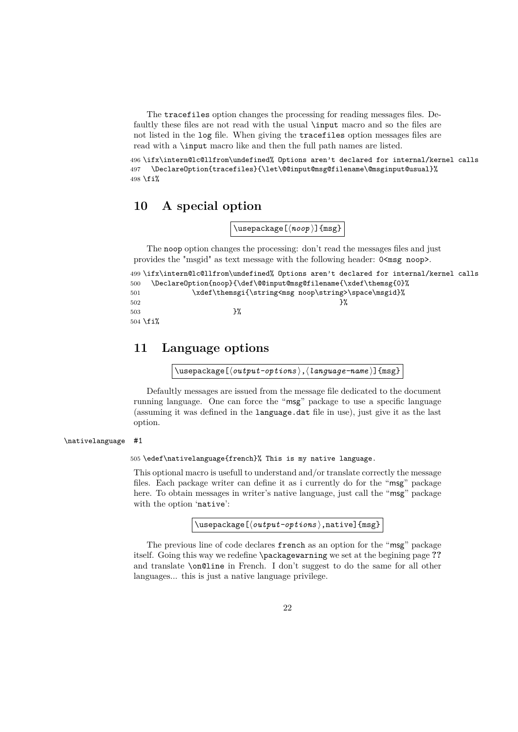The tracefiles option changes the processing for reading messages files. Defaultly these files are not read with the usual \input macro and so the files are not listed in the log file. When giving the tracefiles option messages files are read with a \input macro like and then the full path names are listed.

496 \ifx\intern@lc@llfrom\undefined% Options aren't declared for internal/kernel calls 497 \DeclareOption{tracefiles}{\let\@@input@msg@filename\@msginput@usual}% 498 \fi%

## **10 A special option**

\usepackage[ $\langle$ *noop*}]{msg}

The noop option changes the processing: don't read the messages files and just provides the "msgid" as text message with the following header:  $0 \leq m$ sg noop>.

```
499 \ifx\intern@lc@llfrom\undefined% Options aren't declared for internal/kernel calls
500 \DeclareOption{noop}{\def\@@input@msg@filename{\xdef\themsg{0}%
501 \xdef\themsgi{\string<msg noop\string>\space\msgid}%
502 } \%503 \frac{1}{2}504 \fi%
```
## **11 Language options**

\usepackage[ $\langle output-options \rangle$ , $\langle language-name \rangle$ ]{msg}

Defaultly messages are issued from the message file dedicated to the document running language. One can force the "msg" package to use a specific language (assuming it was defined in the language.dat file in use), just give it as the last option.

#### \nativelanguage #1

505 \edef\nativelanguage{french}% This is my native language.

This optional macro is usefull to understand and/or translate correctly the message files. Each package writer can define it as i currently do for the "msg" package here. To obtain messages in writer's native language, just call the "msg" package with the option 'native':

\usepackage[ $\langle output-optims \rangle$ ,native]{msg}

The previous line of code declares french as an option for the "msg" package itself. Going this way we redefine \packagewarning we set at the begining page **??** and translate \on@line in French. I don't suggest to do the same for all other languages... this is just a native language privilege.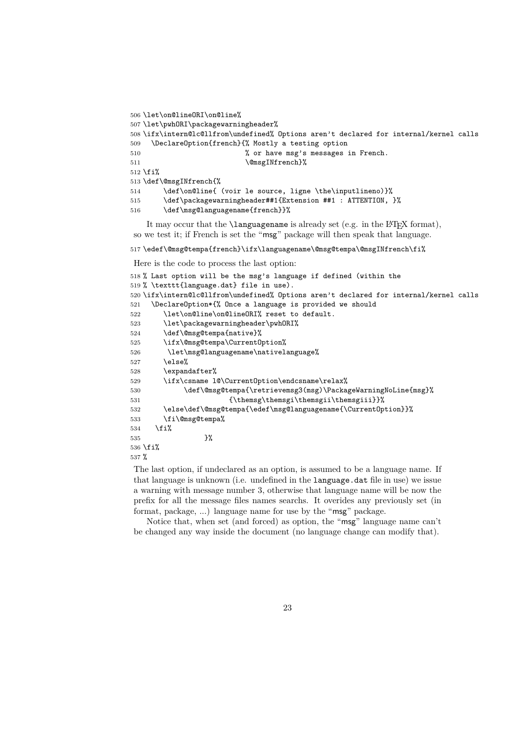```
506 \let\on@lineORI\on@line%
507 \let\pwhORI\packagewarningheader%
508 \ifx\intern@lc@llfrom\undefined% Options aren't declared for internal/kernel calls
509 \DeclareOption{french}{% Mostly a testing option
510 % or have msg's messages in French.
511 \@msgINfrench}%
512 \fi%
513 \def\@msgINfrench{%
514 \def\on@line{ (voir le source, ligne \the\inputlineno)}%
515 \def\packagewarningheader##1{Extension ##1 : ATTENTION, }%
516 \def\msg@languagename{french}}%
```
It may occur that the  $\langle \text{languagename} \rangle$  is already set (e.g. in the LAT<sub>EX</sub> format), so we test it; if French is set the "msg" package will then speak that language.

517 \edef\@msg@tempa{french}\ifx\languagename\@msg@tempa\@msgINfrench\fi%

Here is the code to process the last option:

```
518 % Last option will be the msg's language if defined (within the
519 % \texttt{language.dat} file in use).
520 \ifx\intern@lc@llfrom\undefined% Options aren't declared for internal/kernel calls
521 \DeclareOption*{% Once a language is provided we should
522 \let\on@line\on@lineORI% reset to default.
523 \let\packagewarningheader\pwhORI%
524 \def\@msg@tempa{native}%
525 \ifx\@msg@tempa\CurrentOption%
526 \let\msg@languagename\nativelanguage%
527 \else%
528 \expandafter%
529 \ifx\csname l@\CurrentOption\endcsname\relax%
530 \def\@msg@tempa{\retrievemsg3(msg)\PackageWarningNoLine{msg}%
531 {\themsg\themsgi\themsgii\themsgiii}}%
532 \else\def\@msg@tempa{\edef\msg@languagename{\CurrentOption}}%
533 \fi\@msg@tempa%
534 \fi%
535 } }536 \fi%
537 %
```
The last option, if undeclared as an option, is assumed to be a language name. If that language is unknown (i.e. undefined in the language.dat file in use) we issue a warning with message number 3, otherwise that language name will be now the prefix for all the message files names searchs. It overides any previously set (in format, package, ...) language name for use by the "msg" package.

Notice that, when set (and forced) as option, the "msg" language name can't be changed any way inside the document (no language change can modify that).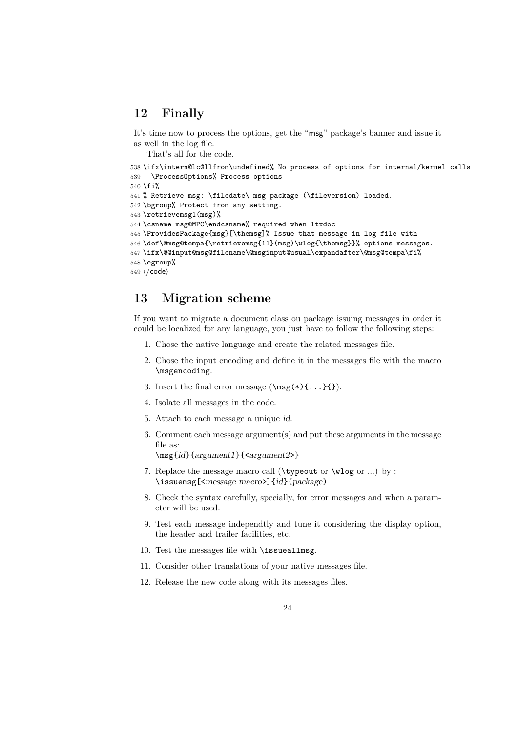## **12 Finally**

It's time now to process the options, get the "msg" package's banner and issue it as well in the log file.

That's all for the code.

538 \ifx\intern@lc@llfrom\undefined% No process of options for internal/kernel calls 539 \ProcessOptions% Process options

```
540 \fifi%
```

```
541 % Retrieve msg: \filedate\ msg package (\fileversion) loaded.
```
542 \bgroup% Protect from any setting.

```
543 \retrievemsg1(msg)%
```
544 \csname msg@MPC\endcsname% required when ltxdoc

```
545 \ProvidesPackage{msg}[\themsg]% Issue that message in log file with
```

```
546 \def\@msg@tempa{\retrievemsg{11}(msg)\wlog{\themsg}}% options messages.
```

```
547 \ifx\@@input@msg@filename\@msginput@usual\expandafter\@msg@tempa\fi%
```

```
548 \egroup%
```

```
549 \langle/code)
```
## **13 Migration scheme**

If you want to migrate a document class ou package issuing messages in order it could be localized for any language, you just have to follow the following steps:

- 1. Chose the native language and create the related messages file.
- 2. Chose the input encoding and define it in the messages file with the macro \msgencoding.
- 3. Insert the final error message  $(\n\{*\} \{ \dots \} \})$ .
- 4. Isolate all messages in the code.
- 5. Attach to each message a unique id.
- 6. Comment each message argument(s) and put these arguments in the message file as:

\msg{id}{argument1}{<argument2>}

- 7. Replace the message macro call (\typeout or \wlog or ...) by : \issuemsg[<message macro>]{id}(package)
- 8. Check the syntax carefully, specially, for error messages and when a parameter will be used.
- 9. Test each message independtly and tune it considering the display option, the header and trailer facilities, etc.
- 10. Test the messages file with \issueallmsg.
- 11. Consider other translations of your native messages file.
- 12. Release the new code along with its messages files.